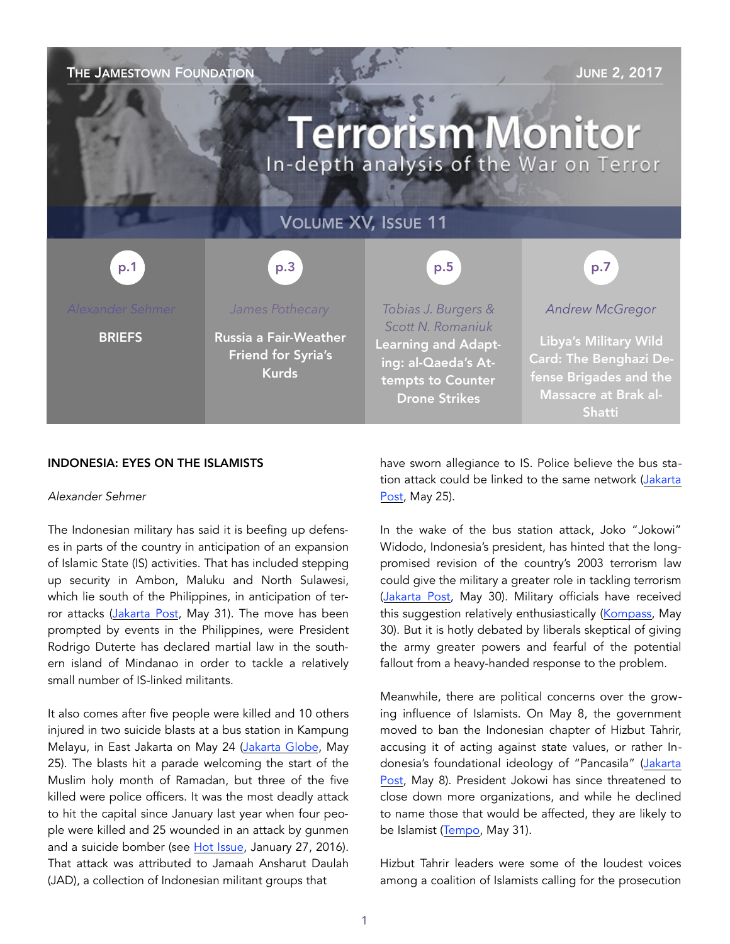#### THE JAMESTOWN FOUNDATION **THE SECTION AND SERVICE SERVICE SERVICE SERVICE SERVICE SERVICE SERVICE SERVICE SERVICE SERVICE SERVICE SERVICE SERVICE SERVICE SERVICE SERVICE SERVICE SERVICE SERVICE SERVICE SERVICE SERVICE SERV**

# **Terrorism Monitor** In-depth analysis of the War on Terror

### VOLUME XV, ISSUE 11

#### p.3 p.1 p.5 p.7

**BRIEFS** 

*James Pothecary*

Russia a Fair-Weather Friend for Syria's Kurds

*Tobias J. Burgers & Scott N. Romaniuk* Learning and Adapting: al-Qaeda's Attempts to Counter Drone Strikes

#### *Andrew McGregor*

Libya's Military Wild Card: The Benghazi Defense Brigades and the Massacre at Brak al-Shatti

#### INDONESIA: EYES ON THE ISLAMISTS

#### *Alexander Sehmer*

The Indonesian military has said it is beefing up defenses in parts of the country in anticipation of an expansion of Islamic State (IS) activities. That has included stepping up security in Ambon, Maluku and North Sulawesi, which lie south of the Philippines, in anticipation of ter-ror attacks [\(Jakarta Post,](http://www.thejakartapost.com/news/2017/05/31/army-prepares-anticipatory-measures-against-is-infiltration.html) May 31). The move has been prompted by events in the Philippines, were President Rodrigo Duterte has declared martial law in the southern island of Mindanao in order to tackle a relatively small number of IS-linked militants.

It also comes after five people were killed and 10 others injured in two suicide blasts at a bus station in Kampung Melayu, in East Jakarta on May 24 ([Jakarta Globe](http://jakartaglobe.id/news/twin-explosions-in-jakarta/), May 25). The blasts hit a parade welcoming the start of the Muslim holy month of Ramadan, but three of the five killed were police officers. It was the most deadly attack to hit the capital since January last year when four people were killed and 25 wounded in an attack by gunmen and a suicide bomber (see [Hot Issue](https://jamestown.org/program/hot-issue-the-islamic-states-attack-in-jakarta-progeny-profiles-and-prospects-for-a-southeast-asia-province/), January 27, 2016). That attack was attributed to Jamaah Ansharut Daulah (JAD), a collection of Indonesian militant groups that

have sworn allegiance to IS. Police believe the bus station attack could be linked to the same network ([Jakarta](http://www.thejakartapost.com/news/2017/05/25/east-jakarta-suicide-blasts-likely-linked-to-is-police.html)  [Post,](http://www.thejakartapost.com/news/2017/05/25/east-jakarta-suicide-blasts-likely-linked-to-is-police.html) May 25).

In the wake of the bus station attack, Joko "Jokowi" Widodo, Indonesia's president, has hinted that the longpromised revision of the country's 2003 terrorism law could give the military a greater role in tackling terrorism ([Jakarta Post,](http://www.thejakartapost.com/news/2017/05/30/hunting-terrorists-in-the-woods-is-a-breeze-for-us-tni.html) May 30). Military officials have received this suggestion relatively enthusiastically [\(Kompass,](http://nasional.kompas.com/read/2017/05/30/17562131/jika.dilibatkan.tni.siap.kejar.teroris.hingga.ke.hutan) May 30). But it is hotly debated by liberals skeptical of giving the army greater powers and fearful of the potential fallout from a heavy-handed response to the problem.

Meanwhile, there are political concerns over the growing influence of Islamists. On May 8, the government moved to ban the Indonesian chapter of Hizbut Tahrir, accusing it of acting against state values, or rather Indonesia's foundational ideology of "Pancasila" ([Jakarta](http://www.thejakartapost.com/news/2017/05/08/jokowi-administration-recommends-ban-on-islamic-group.html)  [Post,](http://www.thejakartapost.com/news/2017/05/08/jokowi-administration-recommends-ban-on-islamic-group.html) May 8). President Jokowi has since threatened to close down more organizations, and while he declined to name those that would be affected, they are likely to be Islamist ([Tempo,](https://en.tempo.co/read/news/2017/05/31/055880129/Jokowi-Mulls-Disbanding-More-Mass-Organizations) May 31).

Hizbut Tahrir leaders were some of the loudest voices among a coalition of Islamists calling for the prosecution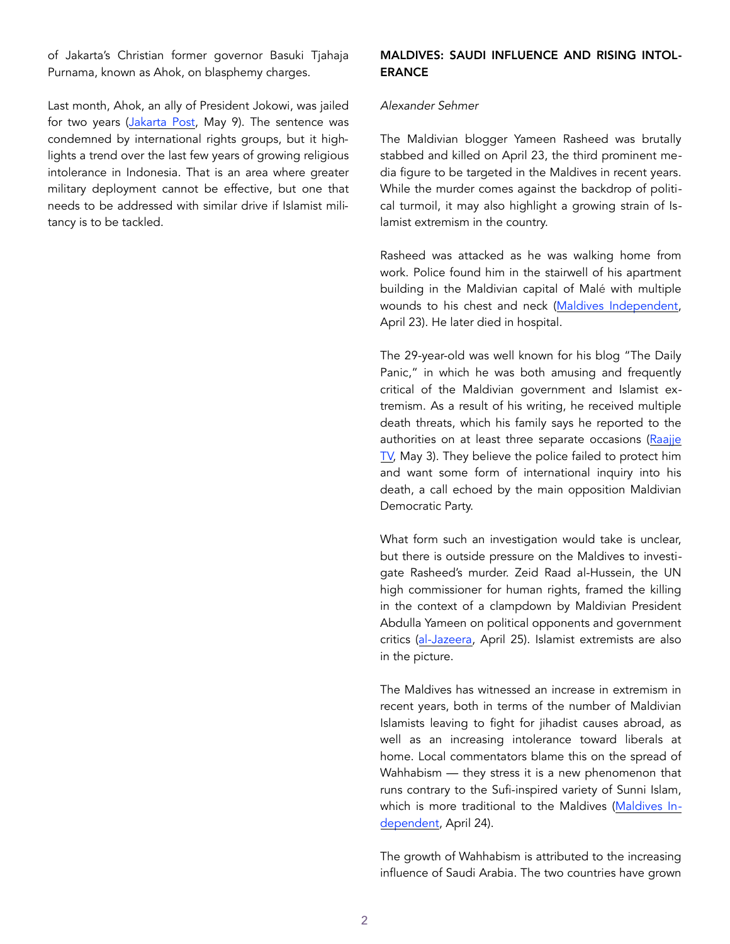of Jakarta's Christian former governor Basuki Tjahaja Purnama, known as Ahok, on blasphemy charges.

Last month, Ahok, an ally of President Jokowi, was jailed for two years [\(Jakarta Post,](http://www.thejakartapost.com/news/2017/05/09/ahok-guilty-of-blasphemy-sentenced-to-two-years.html) May 9). The sentence was condemned by international rights groups, but it highlights a trend over the last few years of growing religious intolerance in Indonesia. That is an area where greater military deployment cannot be effective, but one that needs to be addressed with similar drive if Islamist militancy is to be tackled.

#### MALDIVES: SAUDI INFLUENCE AND RISING INTOL-ERANCE

#### *Alexander Sehmer*

The Maldivian blogger Yameen Rasheed was brutally stabbed and killed on April 23, the third prominent media figure to be targeted in the Maldives in recent years. While the murder comes against the backdrop of political turmoil, it may also highlight a growing strain of Islamist extremism in the country.

Rasheed was attacked as he was walking home from work. Police found him in the stairwell of his apartment building in the Maldivian capital of Malé with multiple wounds to his chest and neck ([Maldives Independent,](http://maldivesindependent.com/politics/yameen-rasheed-blogger-and-activist-stabbed-to-death-130184) April 23). He later died in hospital.

The 29-year-old was well known for his blog "The Daily Panic," in which he was both amusing and frequently critical of the Maldivian government and Islamist extremism. As a result of his writing, he received multiple death threats, which his family says he reported to the authorities on at least three separate occasions (Raajje  $TV$ , May 3). They believe the police failed to protect him and want some form of international inquiry into his death, a call echoed by the main opposition Maldivian Democratic Party.

What form such an investigation would take is unclear, but there is outside pressure on the Maldives to investigate Rasheed's murder. Zeid Raad al-Hussein, the UN high commissioner for human rights, framed the killing in the context of a clampdown by Maldivian President Abdulla Yameen on political opponents and government critics ([al-Jazeera](http://www.aljazeera.com/news/2017/04/probe-killing-blogger-yameen-rasheed-170425094743635.html), April 25). Islamist extremists are also in the picture.

The Maldives has witnessed an increase in extremism in recent years, both in terms of the number of Maldivian Islamists leaving to fight for jihadist causes abroad, as well as an increasing intolerance toward liberals at home. Local commentators blame this on the spread of Wahhabism — they stress it is a new phenomenon that runs contrary to the Sufi-inspired variety of Sunni Islam, which is more traditional to the Maldives [\(Maldives In](http://maldivesindependent.com/feature-comment/mourning-the-brutal-murder-of-yameen-rasheed-130189)[dependent,](http://maldivesindependent.com/feature-comment/mourning-the-brutal-murder-of-yameen-rasheed-130189) April 24).

The growth of Wahhabism is attributed to the increasing influence of Saudi Arabia. The two countries have grown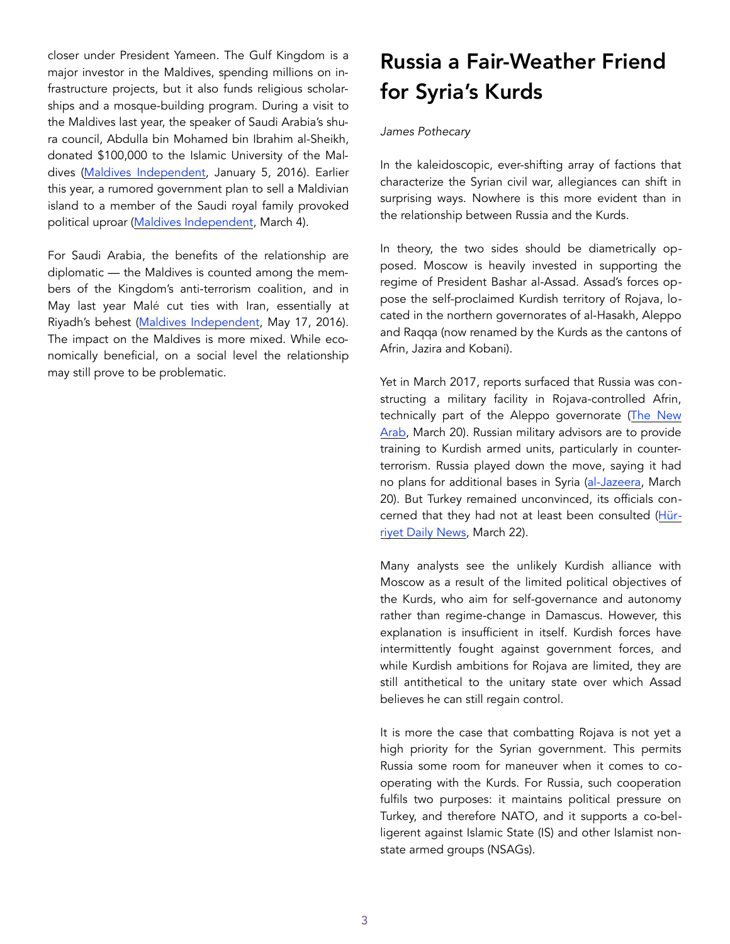closer under President Yameen. The Gulf Kingdom is a major investor in the Maldives, spending millions on infrastructure projects, but it also funds religious scholarships and a mosque-building program. During a visit to the Maldives last year, the speaker of Saudi Arabia's shura council, Abdulla bin Mohamed bin Ibrahim al-Sheikh, donated \$100,000 to the Islamic University of the Maldives [\(Maldives Independent](http://maldivesindependent.com/politics/maldives-parliament-to-form-joint-committees-with-saudi-arabias-shura-council-121170), January 5, 2016). Earlier this year, a rumored government plan to sell a Maldivian island to a member of the Saudi royal family provoked political uproar [\(Maldives Independent](http://www.wionews.com/south-asia/analysis-religion-and-money-fuel-saudi-arabias-influence-in-maldives-11145), March 4).

For Saudi Arabia, the benefits of the relationship are diplomatic — the Maldives is counted among the members of the Kingdom's anti-terrorism coalition, and in May last year Malé cut ties with Iran, essentially at Riyadh's behest ([Maldives Independent,](http://maldivesindependent.com/politics/maldives-severs-diplomatic-ties-with-iran-124284) May 17, 2016). The impact on the Maldives is more mixed. While economically beneficial, on a social level the relationship may still prove to be problematic.

### Russia a Fair-Weather Friend for Syria's Kurds

#### *James Pothecary*

In the kaleidoscopic, ever-shifting array of factions that characterize the Syrian civil war, allegiances can shift in surprising ways. Nowhere is this more evident than in the relationship between Russia and the Kurds.

In theory, the two sides should be diametrically opposed. Moscow is heavily invested in supporting the regime of President Bashar al-Assad. Assad's forces oppose the self-proclaimed Kurdish territory of Rojava, located in the northern governorates of al-Hasakh, Aleppo and Raqqa (now renamed by the Kurds as the cantons of Afrin, Jazira and Kobani).

Yet in March 2017, reports surfaced that Russia was constructing a military facility in Rojava-controlled Afrin, technically part of the Aleppo governorate [\(The New](https://www.alaraby.co.uk/english/news/2017/3/20/russia-to-train-kurdish-forces-at-north-syria-base)  [Arab,](https://www.alaraby.co.uk/english/news/2017/3/20/russia-to-train-kurdish-forces-at-north-syria-base) March 20). Russian military advisors are to provide training to Kurdish armed units, particularly in counterterrorism. Russia played down the move, saying it had no plans for additional bases in Syria ([al-Jazeera,](http://www.aljazeera.com/news/2017/03/russia-strikes-deal-syrian-kurds-set-base-170320142545942.html) March 20). But Turkey remained unconvinced, its officials concerned that they had not at least been consulted ([Hür](http://www.hurriyetdailynews.com/turkey-not-convinced-with-russian-denial-for-military-base-in-afrin.aspx?PageID=238&NID=111078&NewsCatID=510)[riyet Daily News](http://www.hurriyetdailynews.com/turkey-not-convinced-with-russian-denial-for-military-base-in-afrin.aspx?PageID=238&NID=111078&NewsCatID=510), March 22).

Many analysts see the unlikely Kurdish alliance with Moscow as a result of the limited political objectives of the Kurds, who aim for self-governance and autonomy rather than regime-change in Damascus. However, this explanation is insufficient in itself. Kurdish forces have intermittently fought against government forces, and while Kurdish ambitions for Rojava are limited, they are still antithetical to the unitary state over which Assad believes he can still regain control.

It is more the case that combatting Rojava is not yet a high priority for the Syrian government. This permits Russia some room for maneuver when it comes to cooperating with the Kurds. For Russia, such cooperation fulfils two purposes: it maintains political pressure on Turkey, and therefore NATO, and it supports a co-belligerent against Islamic State (IS) and other Islamist nonstate armed groups (NSAGs).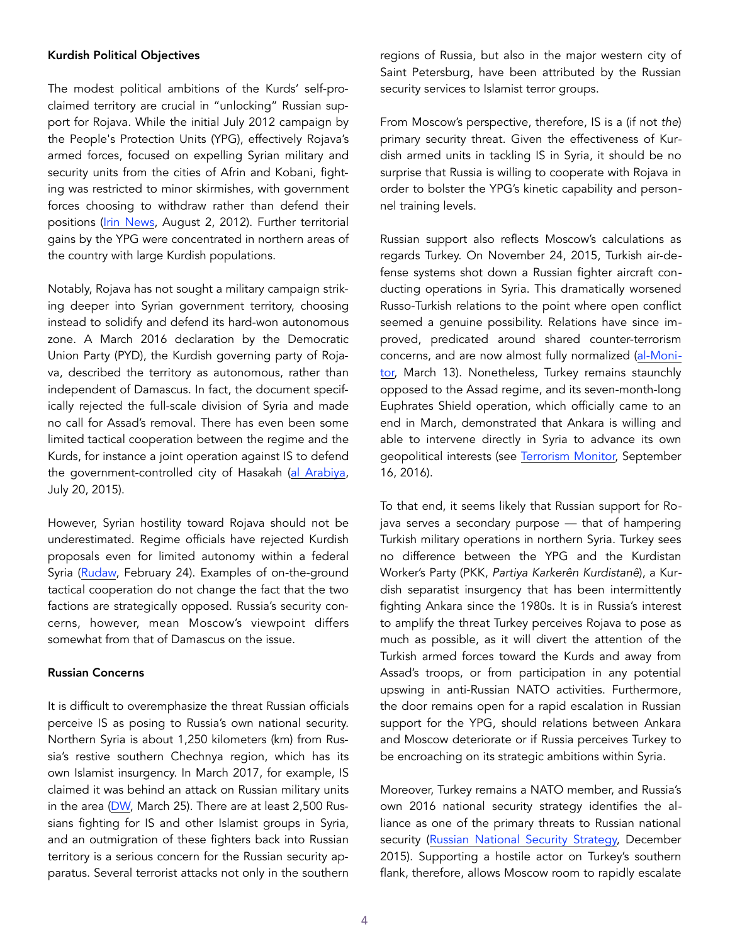#### Kurdish Political Objectives

The modest political ambitions of the Kurds' self-proclaimed territory are crucial in "unlocking" Russian support for Rojava. While the initial July 2012 campaign by the People's Protection Units (YPG), effectively Rojava's armed forces, focused on expelling Syrian military and security units from the cities of Afrin and Kobani, fighting was restricted to minor skirmishes, with government forces choosing to withdraw rather than defend their positions ([Irin News,](http://www.irinnews.org/analysis/2012/08/02/kurds-enter-fray-risk-conflict-grows) August 2, 2012). Further territorial gains by the YPG were concentrated in northern areas of the country with large Kurdish populations.

Notably, Rojava has not sought a military campaign striking deeper into Syrian government territory, choosing instead to solidify and defend its hard-won autonomous zone. A March 2016 declaration by the Democratic Union Party (PYD), the Kurdish governing party of Rojava, described the territory as autonomous, rather than independent of Damascus. In fact, the document specifically rejected the full-scale division of Syria and made no call for Assad's removal. There has even been some limited tactical cooperation between the regime and the Kurds, for instance a joint operation against IS to defend the government-controlled city of Hasakah ([al Arabiya,](https://english.alarabiya.net/en/News/middle-east/2015/07/20/Syria-Kurds-say-in-near-complete-control-of-Hasaka-city.html) July 20, 2015).

However, Syrian hostility toward Rojava should not be underestimated. Regime officials have rejected Kurdish proposals even for limited autonomy within a federal Syria ([Rudaw,](http://www.rudaw.net/english/middleeast/syria/240220173) February 24). Examples of on-the-ground tactical cooperation do not change the fact that the two factions are strategically opposed. Russia's security concerns, however, mean Moscow's viewpoint differs somewhat from that of Damascus on the issue.

#### Russian Concerns

It is difficult to overemphasize the threat Russian officials perceive IS as posing to Russia's own national security. Northern Syria is about 1,250 kilometers (km) from Russia's restive southern Chechnya region, which has its own Islamist insurgency. In March 2017, for example, IS claimed it was behind an attack on Russian military units in the area [\(DW,](http://www.dw.com/en/russian-soldiers-killed-in-islamic-state-claimed-attack-in-chechnya/a-38117689) March 25). There are at least 2,500 Russians fighting for IS and other Islamist groups in Syria, and an outmigration of these fighters back into Russian territory is a serious concern for the Russian security apparatus. Several terrorist attacks not only in the southern

regions of Russia, but also in the major western city of Saint Petersburg, have been attributed by the Russian security services to Islamist terror groups.

From Moscow's perspective, therefore, IS is a (if not *the*) primary security threat. Given the effectiveness of Kurdish armed units in tackling IS in Syria, it should be no surprise that Russia is willing to cooperate with Rojava in order to bolster the YPG's kinetic capability and personnel training levels.

Russian support also reflects Moscow's calculations as regards Turkey. On November 24, 2015, Turkish air-defense systems shot down a Russian fighter aircraft conducting operations in Syria. This dramatically worsened Russo-Turkish relations to the point where open conflict seemed a genuine possibility. Relations have since improved, predicated around shared counter-terrorism concerns, and are now almost fully normalized ([al-Moni](http://www.al-monitor.com/pulse/originals/2017/03/russia-turkey-normalization-process-erdogan-putin-syria.html)[tor,](http://www.al-monitor.com/pulse/originals/2017/03/russia-turkey-normalization-process-erdogan-putin-syria.html) March 13). Nonetheless, Turkey remains staunchly opposed to the Assad regime, and its seven-month-long Euphrates Shield operation, which officially came to an end in March, demonstrated that Ankara is willing and able to intervene directly in Syria to advance its own geopolitical interests (see [Terrorism Monitor,](https://jamestown.org/program/syrias-conflict-managing-turkeys-intervention/) September 16, 2016).

To that end, it seems likely that Russian support for Rojava serves a secondary purpose — that of hampering Turkish military operations in northern Syria. Turkey sees no difference between the YPG and the Kurdistan Worker's Party (PKK, *Partiya Karkerên Kurdistanê*), a Kurdish separatist insurgency that has been intermittently fighting Ankara since the 1980s. It is in Russia's interest to amplify the threat Turkey perceives Rojava to pose as much as possible, as it will divert the attention of the Turkish armed forces toward the Kurds and away from Assad's troops, or from participation in any potential upswing in anti-Russian NATO activities. Furthermore, the door remains open for a rapid escalation in Russian support for the YPG, should relations between Ankara and Moscow deteriorate or if Russia perceives Turkey to be encroaching on its strategic ambitions within Syria.

Moreover, Turkey remains a NATO member, and Russia's own 2016 national security strategy identifies the alliance as one of the primary threats to Russian national security ([Russian National Security Strategy,](http://www.ieee.es/Galerias/fichero/OtrasPublicaciones/Internacional/2016/Russian-National-Security-Strategy-31Dec2015.pdf) December 2015). Supporting a hostile actor on Turkey's southern flank, therefore, allows Moscow room to rapidly escalate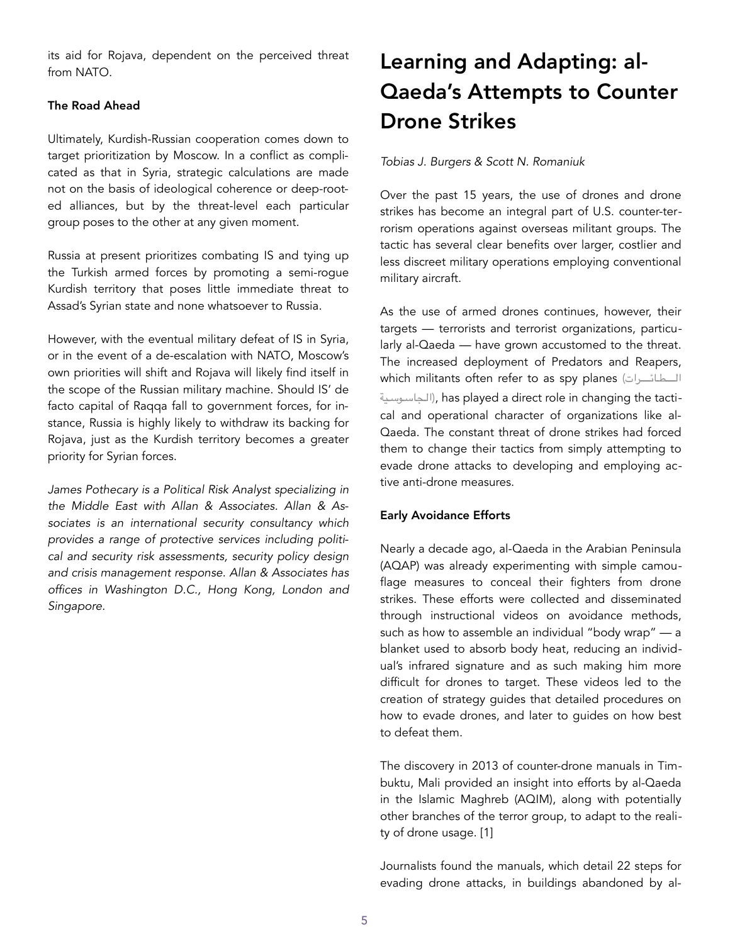its aid for Rojava, dependent on the perceived threat from NATO.

#### The Road Ahead

Ultimately, Kurdish-Russian cooperation comes down to target prioritization by Moscow. In a conflict as complicated as that in Syria, strategic calculations are made not on the basis of ideological coherence or deep-rooted alliances, but by the threat-level each particular group poses to the other at any given moment.

Russia at present prioritizes combating IS and tying up the Turkish armed forces by promoting a semi-rogue Kurdish territory that poses little immediate threat to Assad's Syrian state and none whatsoever to Russia.

However, with the eventual military defeat of IS in Syria, or in the event of a de-escalation with NATO, Moscow's own priorities will shift and Rojava will likely find itself in the scope of the Russian military machine. Should IS' de facto capital of Raqqa fall to government forces, for instance, Russia is highly likely to withdraw its backing for Rojava, just as the Kurdish territory becomes a greater priority for Syrian forces.

*James Pothecary is a Political Risk Analyst specializing in the Middle East with Allan & Associates. Allan & Associates is an international security consultancy which provides a range of protective services including political and security risk assessments, security policy design and crisis management response. Allan & Associates has offices in Washington D.C., Hong Kong, London and Singapore.* 

### Learning and Adapting: al-Qaeda's Attempts to Counter Drone Strikes

#### *Tobias J. Burgers & Scott N. Romaniuk*

Over the past 15 years, the use of drones and drone strikes has become an integral part of U.S. counter-terrorism operations against overseas militant groups. The tactic has several clear benefits over larger, costlier and less discreet military operations employing conventional military aircraft.

As the use of armed drones continues, however, their targets — terrorists and terrorist organizations, particularly al-Qaeda — have grown accustomed to the threat. The increased deployment of Predators and Reapers, which militants often refer to as spy planes (المطائحرات الجاسوسية), has played a direct role in changing the tactical and operational character of organizations like al-Qaeda. The constant threat of drone strikes had forced them to change their tactics from simply attempting to evade drone attacks to developing and employing active anti-drone measures.

#### Early Avoidance Efforts

Nearly a decade ago, al-Qaeda in the Arabian Peninsula (AQAP) was already experimenting with simple camouflage measures to conceal their fighters from drone strikes. These efforts were collected and disseminated through instructional videos on avoidance methods, such as how to assemble an individual "body wrap" — a blanket used to absorb body heat, reducing an individual's infrared signature and as such making him more difficult for drones to target. These videos led to the creation of strategy guides that detailed procedures on how to evade drones, and later to guides on how best to defeat them.

The discovery in 2013 of counter-drone manuals in Timbuktu, Mali provided an insight into efforts by al-Qaeda in the Islamic Maghreb (AQIM), along with potentially other branches of the terror group, to adapt to the reality of drone usage. [1]

Journalists found the manuals, which detail 22 steps for evading drone attacks, in buildings abandoned by al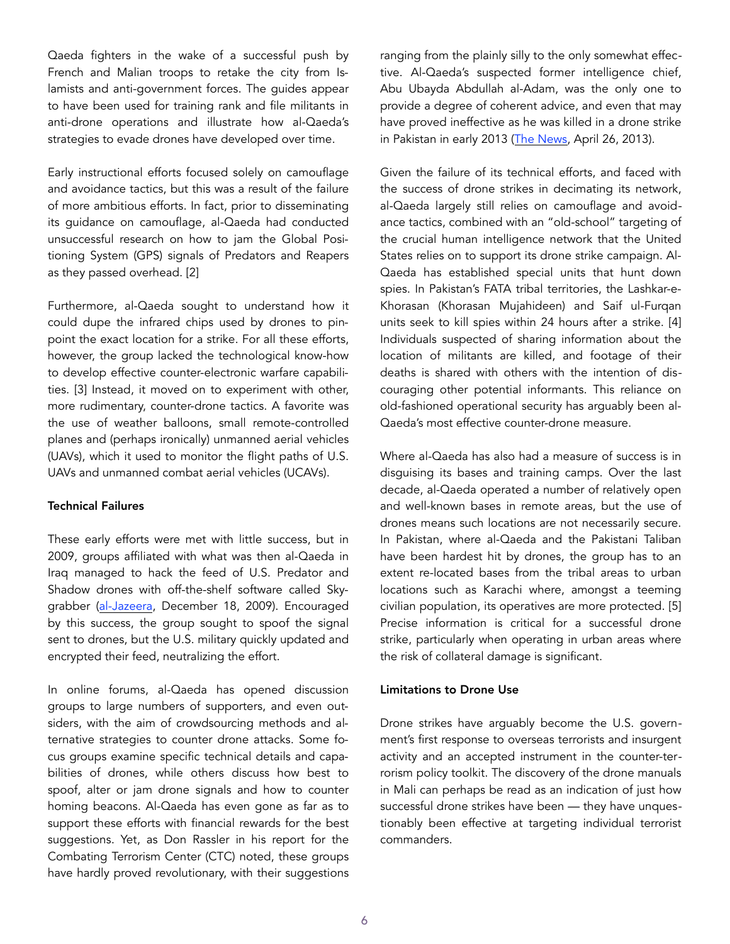Qaeda fighters in the wake of a successful push by French and Malian troops to retake the city from Islamists and anti-government forces. The guides appear to have been used for training rank and file militants in anti-drone operations and illustrate how al-Qaeda's strategies to evade drones have developed over time.

Early instructional efforts focused solely on camouflage and avoidance tactics, but this was a result of the failure of more ambitious efforts. In fact, prior to disseminating its guidance on camouflage, al-Qaeda had conducted unsuccessful research on how to jam the Global Positioning System (GPS) signals of Predators and Reapers as they passed overhead. [2]

Furthermore, al-Qaeda sought to understand how it could dupe the infrared chips used by drones to pinpoint the exact location for a strike. For all these efforts, however, the group lacked the technological know-how to develop effective counter-electronic warfare capabilities. [3] Instead, it moved on to experiment with other, more rudimentary, counter-drone tactics. A favorite was the use of weather balloons, small remote-controlled planes and (perhaps ironically) unmanned aerial vehicles (UAVs), which it used to monitor the flight paths of U.S. UAVs and unmanned combat aerial vehicles (UCAVs).

#### Technical Failures

These early efforts were met with little success, but in 2009, groups affiliated with what was then al-Qaeda in Iraq managed to hack the feed of U.S. Predator and Shadow drones with off-the-shelf software called Skygrabber [\(al-Jazeera](http://www.aljazeera.com/news/americas/2009/12/2009121801911884934.html), December 18, 2009). Encouraged by this success, the group sought to spoof the signal sent to drones, but the U.S. military quickly updated and encrypted their feed, neutralizing the effort.

In online forums, al-Qaeda has opened discussion groups to large numbers of supporters, and even outsiders, with the aim of crowdsourcing methods and alternative strategies to counter drone attacks. Some focus groups examine specific technical details and capabilities of drones, while others discuss how best to spoof, alter or jam drone signals and how to counter homing beacons. Al-Qaeda has even gone as far as to support these efforts with financial rewards for the best suggestions. Yet, as Don Rassler in his report for the Combating Terrorism Center (CTC) noted, these groups have hardly proved revolutionary, with their suggestions

ranging from the plainly silly to the only somewhat effective. Al-Qaeda's suspected former intelligence chief, Abu Ubayda Abdullah al-Adam, was the only one to provide a degree of coherent advice, and even that may have proved ineffective as he was killed in a drone strike in Pakistan in early 2013 ([The News,](http://www.thenews.com.pk/Todays-News-6-173523-Al-Qaeda-intelligence-chief-killed-in-Waziristan-drone-attack) April 26, 2013).

Given the failure of its technical efforts, and faced with the success of drone strikes in decimating its network, al-Qaeda largely still relies on camouflage and avoidance tactics, combined with an "old-school" targeting of the crucial human intelligence network that the United States relies on to support its drone strike campaign. Al-Qaeda has established special units that hunt down spies. In Pakistan's FATA tribal territories, the Lashkar-e-Khorasan (Khorasan Mujahideen) and Saif ul-Furqan units seek to kill spies within 24 hours after a strike. [4] Individuals suspected of sharing information about the location of militants are killed, and footage of their deaths is shared with others with the intention of discouraging other potential informants. This reliance on old-fashioned operational security has arguably been al-Qaeda's most effective counter-drone measure.

Where al-Qaeda has also had a measure of success is in disguising its bases and training camps. Over the last decade, al-Qaeda operated a number of relatively open and well-known bases in remote areas, but the use of drones means such locations are not necessarily secure. In Pakistan, where al-Qaeda and the Pakistani Taliban have been hardest hit by drones, the group has to an extent re-located bases from the tribal areas to urban locations such as Karachi where, amongst a teeming civilian population, its operatives are more protected. [5] Precise information is critical for a successful drone strike, particularly when operating in urban areas where the risk of collateral damage is significant.

#### Limitations to Drone Use

Drone strikes have arguably become the U.S. government's first response to overseas terrorists and insurgent activity and an accepted instrument in the counter-terrorism policy toolkit. The discovery of the drone manuals in Mali can perhaps be read as an indication of just how successful drone strikes have been — they have unquestionably been effective at targeting individual terrorist commanders.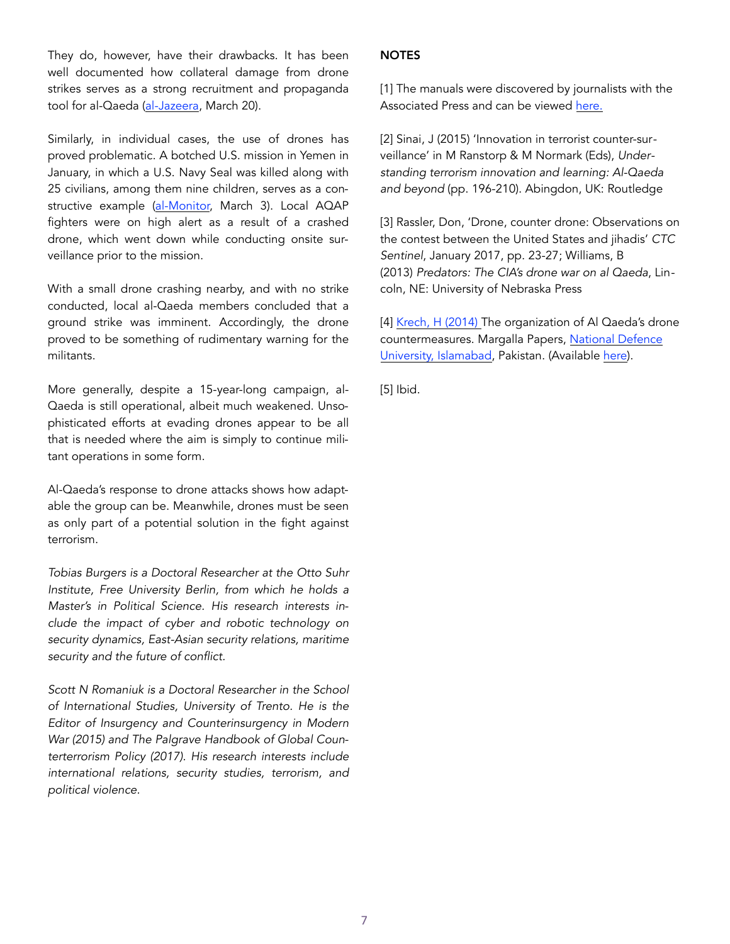They do, however, have their drawbacks. It has been well documented how collateral damage from drone strikes serves as a strong recruitment and propaganda tool for al-Qaeda [\(al-Jazeera,](http://www.aljazeera.com/indepth/opinion/2017/03/scared-trump-drone-reforms-170319074243420.html) March 20).

Similarly, in individual cases, the use of drones has proved problematic. A botched U.S. mission in Yemen in January, in which a U.S. Navy Seal was killed along with 25 civilians, among them nine children, serves as a con-structive example [\(al-Monitor,](http://www.al-monitor.com/pulse/afp/2017/03/yemen-conflict-qaeda-us.html) March 3). Local AQAP fighters were on high alert as a result of a crashed drone, which went down while conducting onsite surveillance prior to the mission.

With a small drone crashing nearby, and with no strike conducted, local al-Qaeda members concluded that a ground strike was imminent. Accordingly, the drone proved to be something of rudimentary warning for the militants.

More generally, despite a 15-year-long campaign, al-Qaeda is still operational, albeit much weakened. Unsophisticated efforts at evading drones appear to be all that is needed where the aim is simply to continue militant operations in some form.

Al-Qaeda's response to drone attacks shows how adaptable the group can be. Meanwhile, drones must be seen as only part of a potential solution in the fight against terrorism.

*Tobias Burgers is a Doctoral Researcher at the Otto Suhr Institute, Free University Berlin, from which he holds a Master's in Political Science. His research interests include the impact of cyber and robotic technology on security dynamics, East-Asian security relations, maritime security and the future of conflict.* 

*Scott N Romaniuk is a Doctoral Researcher in the School of International Studies, University of Trento. He is the Editor of Insurgency and Counterinsurgency in Modern War (2015) and The Palgrave Handbook of Global Counterterrorism Policy (2017). His research interests include international relations, security studies, terrorism, and political violence.*

#### **NOTES**

[1] The manuals were discovered by journalists with the Associated Press and can be viewed [here.](http://hosted.ap.org/specials/interactives/_international/_pdfs/al-qaida-papers-drones.pdf) 

[2] Sinai, J (2015) 'Innovation in terrorist counter-surveillance' in M Ranstorp & M Normark (Eds), *Understanding terrorism innovation and learning: Al-Qaeda and beyond* (pp. 196-210). Abingdon, UK: Routledge

[3] Rassler, Don, 'Drone, counter drone: Observations on the contest between the United States and jihadis' *CTC Sentinel*, January 2017, pp. 23-27; Williams, B (2013) *Predators: The CIA's drone war on al Qaeda*, Lincoln, NE: University of Nebraska Press

[4] Krech, H (2014) The organization of Al Qaeda's drone countermeasures. Margalla Papers, [National Defence](http://www.ndu.edu.pk/issra/ISSRA_Margalla_Papers_2014.php)  [University, Islamabad,](http://www.ndu.edu.pk/issra/ISSRA_Margalla_Papers_2014.php) Pakistan. (Available [here](http://www.ndu.edu.pk/issra/issra_pub/articles/margalla-paper/Margalla-Papers-2014/06-The-Org-of-Al-Qaeda.pdf)).

[5] Ibid.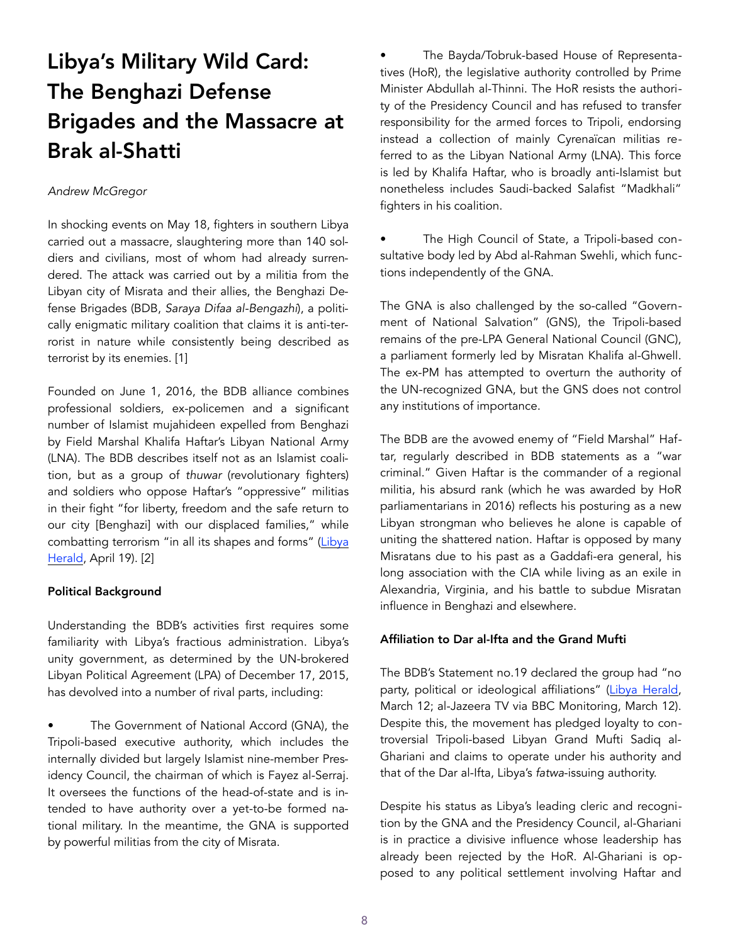## Libya's Military Wild Card: The Benghazi Defense Brigades and the Massacre at Brak al-Shatti

#### *Andrew McGregor*

In shocking events on May 18, fighters in southern Libya carried out a massacre, slaughtering more than 140 soldiers and civilians, most of whom had already surrendered. The attack was carried out by a militia from the Libyan city of Misrata and their allies, the Benghazi Defense Brigades (BDB, *Saraya Difaa al-Bengazhi*), a politically enigmatic military coalition that claims it is anti-terrorist in nature while consistently being described as terrorist by its enemies. [1]

Founded on June 1, 2016, the BDB alliance combines professional soldiers, ex-policemen and a significant number of Islamist mujahideen expelled from Benghazi by Field Marshal Khalifa Haftar's Libyan National Army (LNA). The BDB describes itself not as an Islamist coalition, but as a group of *thuwar* (revolutionary fighters) and soldiers who oppose Haftar's "oppressive" militias in their fight "for liberty, freedom and the safe return to our city [Benghazi] with our displaced families," while combatting terrorism "in all its shapes and forms" (Libya [Herald,](https://www.libyaherald.com/2017/04/19/bdb-denies-un-claim-it-is-a-coalition-of-islamist-armed-groups/) April 19). [2]

#### Political Background

Understanding the BDB's activities first requires some familiarity with Libya's fractious administration. Libya's unity government, as determined by the UN-brokered Libyan Political Agreement (LPA) of December 17, 2015, has devolved into a number of rival parts, including:

The Government of National Accord (GNA), the Tripoli-based executive authority, which includes the internally divided but largely Islamist nine-member Presidency Council, the chairman of which is Fayez al-Serraj. It oversees the functions of the head-of-state and is intended to have authority over a yet-to-be formed national military. In the meantime, the GNA is supported by powerful militias from the city of Misrata.

• The Bayda/Tobruk-based House of Representatives (HoR), the legislative authority controlled by Prime Minister Abdullah al-Thinni. The HoR resists the authority of the Presidency Council and has refused to transfer responsibility for the armed forces to Tripoli, endorsing instead a collection of mainly Cyrenaïcan militias referred to as the Libyan National Army (LNA). This force is led by Khalifa Haftar, who is broadly anti-Islamist but nonetheless includes Saudi-backed Salafist "Madkhali" fighters in his coalition.

The High Council of State, a Tripoli-based consultative body led by Abd al-Rahman Swehli, which functions independently of the GNA.

The GNA is also challenged by the so-called "Government of National Salvation" (GNS), the Tripoli-based remains of the pre-LPA General National Council (GNC), a parliament formerly led by Misratan Khalifa al-Ghwell. The ex-PM has attempted to overturn the authority of the UN-recognized GNA, but the GNS does not control any institutions of importance.

The BDB are the avowed enemy of "Field Marshal" Haftar, regularly described in BDB statements as a "war criminal." Given Haftar is the commander of a regional militia, his absurd rank (which he was awarded by HoR parliamentarians in 2016) reflects his posturing as a new Libyan strongman who believes he alone is capable of uniting the shattered nation. Haftar is opposed by many Misratans due to his past as a Gaddafi-era general, his long association with the CIA while living as an exile in Alexandria, Virginia, and his battle to subdue Misratan influence in Benghazi and elsewhere.

#### Affiliation to Dar al-Ifta and the Grand Mufti

The BDB's Statement no.19 declared the group had "no party, political or ideological affiliations" ([Libya Herald,](https://www.libyaherald.com/2017/03/12/heavy-air-raids-as-pfg-chief-says-lna-trying-to-hit-oil-facilities/) March 12; al-Jazeera TV via BBC Monitoring, March 12). Despite this, the movement has pledged loyalty to controversial Tripoli-based Libyan Grand Mufti Sadiq al-Ghariani and claims to operate under his authority and that of the Dar al-Ifta, Libya's *fatwa*-issuing authority.

Despite his status as Libya's leading cleric and recognition by the GNA and the Presidency Council, al-Ghariani is in practice a divisive influence whose leadership has already been rejected by the HoR. Al-Ghariani is opposed to any political settlement involving Haftar and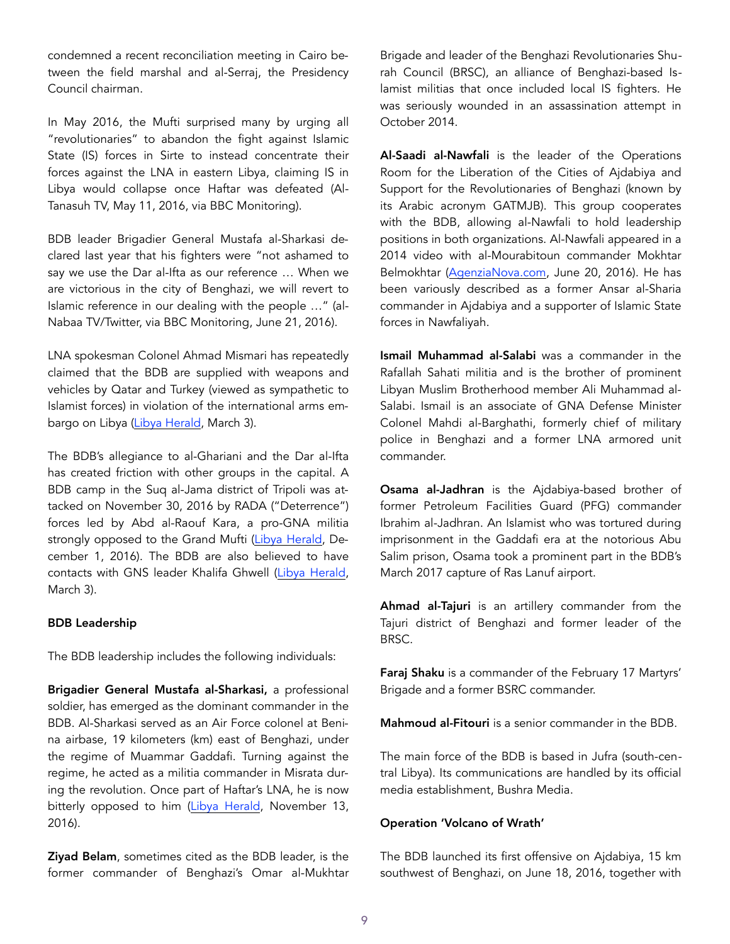condemned a recent reconciliation meeting in Cairo between the field marshal and al-Serraj, the Presidency Council chairman.

In May 2016, the Mufti surprised many by urging all "revolutionaries" to abandon the fight against Islamic State (IS) forces in Sirte to instead concentrate their forces against the LNA in eastern Libya, claiming IS in Libya would collapse once Haftar was defeated (Al-Tanasuh TV, May 11, 2016, via BBC Monitoring).

BDB leader Brigadier General Mustafa al-Sharkasi declared last year that his fighters were "not ashamed to say we use the Dar al-Ifta as our reference … When we are victorious in the city of Benghazi, we will revert to Islamic reference in our dealing with the people …" (al-Nabaa TV/Twitter, via BBC Monitoring, June 21, 2016).

LNA spokesman Colonel Ahmad Mismari has repeatedly claimed that the BDB are supplied with weapons and vehicles by Qatar and Turkey (viewed as sympathetic to Islamist forces) in violation of the international arms embargo on Libya [\(Libya Herald,](https://www.libyaherald.com/2017/03/03/lna-loses-control-of-ras-lanuf-sidra-also-reported-taken/) March 3).

The BDB's allegiance to al-Ghariani and the Dar al-Ifta has created friction with other groups in the capital. A BDB camp in the Suq al-Jama district of Tripoli was attacked on November 30, 2016 by RADA ("Deterrence") forces led by Abd al-Raouf Kara, a pro-GNA militia strongly opposed to the Grand Mufti [\(Libya Herald](https://www.libyaherald.com/2016/12/01/fighting-in-tripoli-as-pro-pc-forces-move-to-crush-militants/), December 1, 2016). The BDB are also believed to have contacts with GNS leader Khalifa Ghwell ([Libya Herald,](https://www.libyaherald.com/2017/03/03/lna-loses-control-of-ras-lanuf-sidra-also-reported-taken/) March 3).

#### BDB Leadership

The BDB leadership includes the following individuals:

Brigadier General Mustafa al-Sharkasi, a professional soldier, has emerged as the dominant commander in the BDB. Al-Sharkasi served as an Air Force colonel at Benina airbase, 19 kilometers (km) east of Benghazi, under the regime of Muammar Gaddafi. Turning against the regime, he acted as a militia commander in Misrata during the revolution. Once part of Haftar's LNA, he is now bitterly opposed to him ([Libya Herald](https://www.libyaherald.com/2016/11/13/islamist-militia-chiefs-son-slain-in-benghazi-report/), November 13, 2016).

Ziyad Belam, sometimes cited as the BDB leader, is the former commander of Benghazi's Omar al-Mukhtar Brigade and leader of the Benghazi Revolutionaries Shurah Council (BRSC), an alliance of Benghazi-based Islamist militias that once included local IS fighters. He was seriously wounded in an assassination attempt in October 2014.

Al-Saadi al-Nawfali is the leader of the Operations Room for the Liberation of the Cities of Ajdabiya and Support for the Revolutionaries of Benghazi (known by its Arabic acronym GATMJB). This group cooperates with the BDB, allowing al-Nawfali to hold leadership positions in both organizations. Al-Nawfali appeared in a 2014 video with al-Mourabitoun commander Mokhtar Belmokhtar ([AgenziaNova.com](https://www.agenzianova.com/a/5767d1e3ae9550.93815045/1372340/2016-06-20/libia-ex-membri-della-shura-di-bengasi-alla-guida-delle-nuove-brigate-arrivate-ad-agedabia/linked), June 20, 2016). He has been variously described as a former Ansar al-Sharia commander in Ajdabiya and a supporter of Islamic State forces in Nawfaliyah.

Ismail Muhammad al-Salabi was a commander in the Rafallah Sahati militia and is the brother of prominent Libyan Muslim Brotherhood member Ali Muhammad al-Salabi. Ismail is an associate of GNA Defense Minister Colonel Mahdi al-Barghathi, formerly chief of military police in Benghazi and a former LNA armored unit commander.

Osama al-Jadhran is the Ajdabiya-based brother of former Petroleum Facilities Guard (PFG) commander Ibrahim al-Jadhran. An Islamist who was tortured during imprisonment in the Gaddafi era at the notorious Abu Salim prison, Osama took a prominent part in the BDB's March 2017 capture of Ras Lanuf airport.

Ahmad al-Tajuri is an artillery commander from the Tajuri district of Benghazi and former leader of the BRSC.

Faraj Shaku is a commander of the February 17 Martyrs' Brigade and a former BSRC commander.

Mahmoud al-Fitouri is a senior commander in the BDB.

The main force of the BDB is based in Jufra (south-central Libya). Its communications are handled by its official media establishment, Bushra Media.

#### Operation 'Volcano of Wrath'

The BDB launched its first offensive on Ajdabiya, 15 km southwest of Benghazi, on June 18, 2016, together with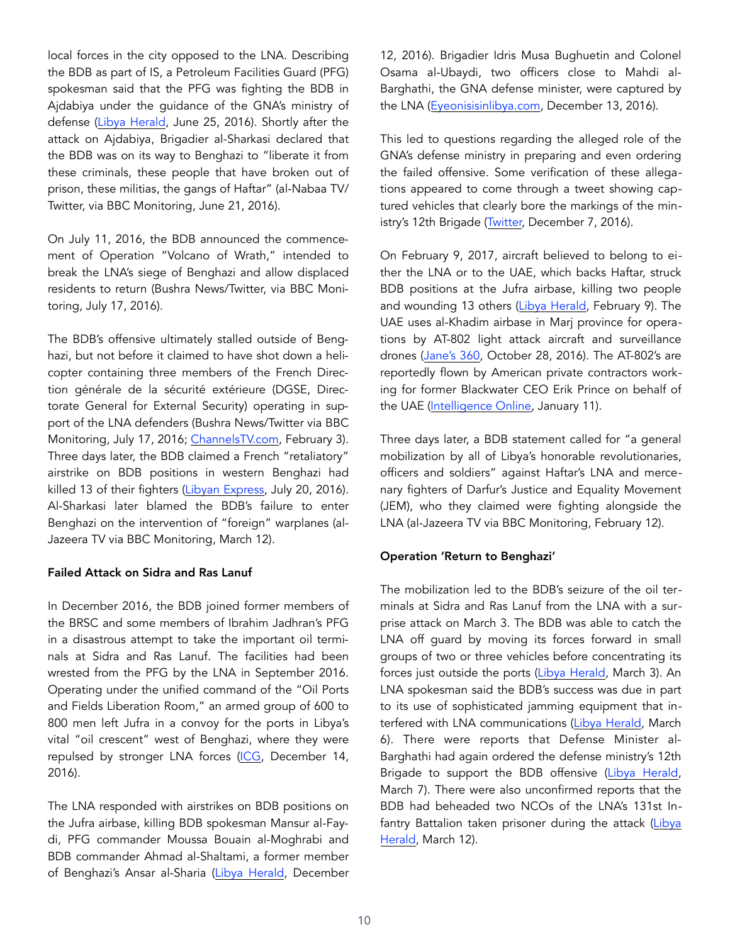local forces in the city opposed to the LNA. Describing the BDB as part of IS, a Petroleum Facilities Guard (PFG) spokesman said that the PFG was fighting the BDB in Ajdabiya under the guidance of the GNA's ministry of defense ([Libya Herald,](https://www.libyaherald.com/2016/06/25/pfg-vows-to-fight-new-benghazi-militants/) June 25, 2016). Shortly after the attack on Ajdabiya, Brigadier al-Sharkasi declared that the BDB was on its way to Benghazi to "liberate it from these criminals, these people that have broken out of prison, these militias, the gangs of Haftar" (al-Nabaa TV/ Twitter, via BBC Monitoring, June 21, 2016).

On July 11, 2016, the BDB announced the commencement of Operation "Volcano of Wrath," intended to break the LNA's siege of Benghazi and allow displaced residents to return (Bushra News/Twitter, via BBC Monitoring, July 17, 2016).

The BDB's offensive ultimately stalled outside of Benghazi, but not before it claimed to have shot down a helicopter containing three members of the French Direction générale de la sécurité extérieure (DGSE, Directorate General for External Security) operating in support of the LNA defenders (Bushra News/Twitter via BBC Monitoring, July 17, 2016; [ChannelsTV.com,](http://www.channelstv.com/2017/02/03/the-secret-war-in-libya/) February 3). Three days later, the BDB claimed a French "retaliatory" airstrike on BDB positions in western Benghazi had killed 13 of their fighters [\(Libyan Express,](http://www.libyanexpress.com/defense-benghazi-brigades-say-french-avenging-airstrikes-killed-13-fighters-today/) July 20, 2016). Al-Sharkasi later blamed the BDB's failure to enter Benghazi on the intervention of "foreign" warplanes (al-Jazeera TV via BBC Monitoring, March 12).

#### Failed Attack on Sidra and Ras Lanuf

In December 2016, the BDB joined former members of the BRSC and some members of Ibrahim Jadhran's PFG in a disastrous attempt to take the important oil terminals at Sidra and Ras Lanuf. The facilities had been wrested from the PFG by the LNA in September 2016. Operating under the unified command of the "Oil Ports and Fields Liberation Room," an armed group of 600 to 800 men left Jufra in a convoy for the ports in Libya's vital "oil crescent" west of Benghazi, where they were repulsed by stronger LNA forces [\(ICG,](https://www.crisisgroup.org/middle-east-north-africa/north-africa/libya/oil-zone-fighting-threatens-libya-economic-collapse) December 14, 2016).

The LNA responded with airstrikes on BDB positions on the Jufra airbase, killing BDB spokesman Mansur al-Faydi, PFG commander Moussa Bouain al-Moghrabi and BDB commander Ahmad al-Shaltami, a former member of Benghazi's Ansar al-Sharia [\(Libya Herald](https://www.libyaherald.com/2016/12/12/99448/), December 12, 2016). Brigadier Idris Musa Bughuetin and Colonel Osama al-Ubaydi, two officers close to Mahdi al-Barghathi, the GNA defense minister, were captured by the LNA ([Eyeonisisinlibya.com,](http://eyeonisisinlibya.com/the-anti-isis-coalition/lna-defeats-counter-attack-extends-territorial-control/) December 13, 2016).

This led to questions regarding the alleged role of the GNA's defense ministry in preparing and even ordering the failed offensive. Some verification of these allegations appeared to come through a tweet showing captured vehicles that clearly bore the markings of the ministry's 12th Brigade ([Twitter,](https://twitter.com/Oded121351/status/806605488729231360?lang=en) December 7, 2016).

On February 9, 2017, aircraft believed to belong to either the LNA or to the UAE, which backs Haftar, struck BDB positions at the Jufra airbase, killing two people and wounding 13 others [\(Libya Herald,](https://www.libyaherald.com/2017/02/09/airforce-raid-on-jufra-airbase-kills-two-report/) February 9). The UAE uses al-Khadim airbase in Marj province for operations by AT-802 light attack aircraft and surveillance drones ([Jane's 360,](http://www.janes.com/article/64980/uae-s-forward-operating-base-in-libya-revealed) October 28, 2016). The AT-802's are reportedly flown by American private contractors working for former Blackwater CEO Erik Prince on behalf of the UAE ([Intelligence Online,](https://www.intelligenceonline.fr/intelligence-economique_ligne-rouge/2017/01/11/prince-a-la-rescousse-des-emirats-en-libye,108196389-ART) January 11).

Three days later, a BDB statement called for "a general mobilization by all of Libya's honorable revolutionaries, officers and soldiers" against Haftar's LNA and mercenary fighters of Darfur's Justice and Equality Movement (JEM), who they claimed were fighting alongside the LNA (al-Jazeera TV via BBC Monitoring, February 12).

#### Operation 'Return to Benghazi'

The mobilization led to the BDB's seizure of the oil terminals at Sidra and Ras Lanuf from the LNA with a surprise attack on March 3. The BDB was able to catch the LNA off guard by moving its forces forward in small groups of two or three vehicles before concentrating its forces just outside the ports [\(Libya Herald,](https://www.libyaherald.com/2017/03/03/lna-loses-control-of-ras-lanuf-sidra-also-reported-taken/) March 3). An LNA spokesman said the BDB's success was due in part to its use of sophisticated jamming equipment that in-terfered with LNA communications ([Libya Herald,](https://www.libyaherald.com/2017/03/06/lna-claims-its-retreat-has-stopped-at-al-uqaylah/) March 6). There were reports that Defense Minister al-Barghathi had again ordered the defense ministry's 12th Brigade to support the BDB offensive ([Libya Herald,](https://www.libyaherald.com/2017/03/07/pc-sends-petroleum-facilities-guards-to-take-over-sidra-and-ras-lanuf/) March 7). There were also unconfirmed reports that the BDB had beheaded two NCOs of the LNA's 131st Infantry Battalion taken prisoner during the attack (Libya [Herald,](https://www.libyaherald.com/2017/03/12/heavy-air-raids-as-pfg-chief-says-lna-trying-to-hit-oil-facilities/) March 12).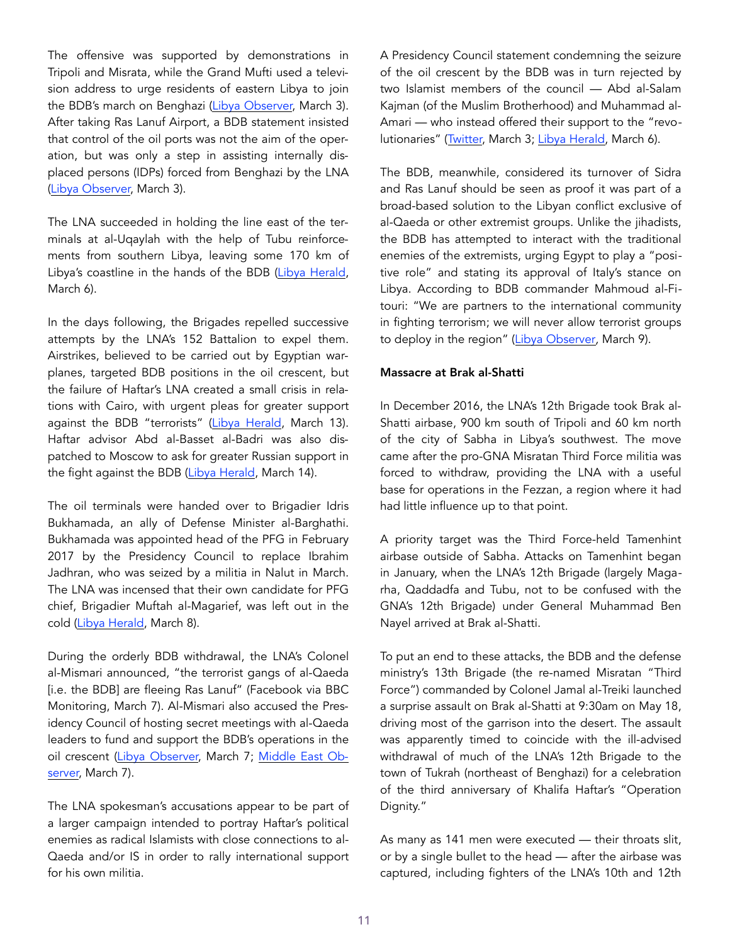The offensive was supported by demonstrations in Tripoli and Misrata, while the Grand Mufti used a television address to urge residents of eastern Libya to join the BDB's march on Benghazi [\(Libya Observer,](https://www.libyaobserver.ly/news/military-operation-benghazi-brigades-libya%E2%80%99s-oil-region-draws-mixed-reactions) March 3). After taking Ras Lanuf Airport, a BDB statement insisted that control of the oil ports was not the aim of the operation, but was only a step in assisting internally displaced persons (IDPs) forced from Benghazi by the LNA ([Libya Observer,](https://www.libyaobserver.ly/news/benghazi-defense-brigades-capture-ras-lanuf-airport-central-libya) March 3).

The LNA succeeded in holding the line east of the terminals at al-Uqaylah with the help of Tubu reinforcements from southern Libya, leaving some 170 km of Libya's coastline in the hands of the BDB ([Libya Herald,](https://www.libyaherald.com/2017/03/06/lna-claims-its-retreat-has-stopped-at-al-uqaylah/) March 6).

In the days following, the Brigades repelled successive attempts by the LNA's 152 Battalion to expel them. Airstrikes, believed to be carried out by Egyptian warplanes, targeted BDB positions in the oil crescent, but the failure of Haftar's LNA created a small crisis in relations with Cairo, with urgent pleas for greater support against the BDB "terrorists" ([Libya Herald](https://www.libyaherald.com/2017/03/14/thinni-heads-to-cairo-to-search-of-military-support/), March 13). Haftar advisor Abd al-Basset al-Badri was also dispatched to Moscow to ask for greater Russian support in the fight against the BDB ([Libya Herald,](https://www.libyaherald.com/2017/03/13/hafters-envoy-in-moscow/) March 14).

The oil terminals were handed over to Brigadier Idris Bukhamada, an ally of Defense Minister al-Barghathi. Bukhamada was appointed head of the PFG in February 2017 by the Presidency Council to replace Ibrahim Jadhran, who was seized by a militia in Nalut in March. The LNA was incensed that their own candidate for PFG chief, Brigadier Muftah al-Magarief, was left out in the cold ([Libya Herald,](https://www.libyaherald.com/2017/03/08/qatrani-condemns-pc-decision-on-handover-of-oil-terminals-to-pfgs-idris-bukhamada/) March 8).

During the orderly BDB withdrawal, the LNA's Colonel al-Mismari announced, "the terrorist gangs of al-Qaeda [i.e. the BDB] are fleeing Ras Lanuf" (Facebook via BBC Monitoring, March 7). Al-Mismari also accused the Presidency Council of hosting secret meetings with al-Qaeda leaders to fund and support the BDB's operations in the oil crescent [\(Libya Observer,](https://www.libyaobserver.ly/news/dignity-operation-plays-al-qaeda-card-frighten-international-community) March 7; [Middle East Ob](https://www.middleeastobserver.org/2017/03/07/haftars-spokesperson-accuses-libyas-presidency-council-of-planning-attack-on-oil-ports-with-al-qaeda-leaders/)[server,](https://www.middleeastobserver.org/2017/03/07/haftars-spokesperson-accuses-libyas-presidency-council-of-planning-attack-on-oil-ports-with-al-qaeda-leaders/) March 7).

The LNA spokesman's accusations appear to be part of a larger campaign intended to portray Haftar's political enemies as radical Islamists with close connections to al-Qaeda and/or IS in order to rally international support for his own militia.

A Presidency Council statement condemning the seizure of the oil crescent by the BDB was in turn rejected by two Islamist members of the council — Abd al-Salam Kajman (of the Muslim Brotherhood) and Muhammad al-Amari — who instead offered their support to the "revo-lutionaries" ([Twitter,](https://twitter.com/alwasatengnews/status/837732017215254530) March 3; [Libya Herald,](https://www.libyaherald.com/2017/03/06/kajman-and-al-amari-back-bdb-in-presidency-council-split/) March 6).

The BDB, meanwhile, considered its turnover of Sidra and Ras Lanuf should be seen as proof it was part of a broad-based solution to the Libyan conflict exclusive of al-Qaeda or other extremist groups. Unlike the jihadists, the BDB has attempted to interact with the traditional enemies of the extremists, urging Egypt to play a "positive role" and stating its approval of Italy's stance on Libya. According to BDB commander Mahmoud al-Fitouri: "We are partners to the international community in fighting terrorism; we will never allow terrorist groups to deploy in the region" ([Libya Observer](https://www.libyaobserver.ly/news/bdb-hails-italian-statement-oil-crescent-calls-egypt-be-neutral)*,* March 9).

#### Massacre at Brak al-Shatti

In December 2016, the LNA's 12th Brigade took Brak al-Shatti airbase, 900 km south of Tripoli and 60 km north of the city of Sabha in Libya's southwest. The move came after the pro-GNA Misratan Third Force militia was forced to withdraw, providing the LNA with a useful base for operations in the Fezzan, a region where it had had little influence up to that point.

A priority target was the Third Force-held Tamenhint airbase outside of Sabha. Attacks on Tamenhint began in January, when the LNA's 12th Brigade (largely Magarha, Qaddadfa and Tubu, not to be confused with the GNA's 12th Brigade) under General Muhammad Ben Nayel arrived at Brak al-Shatti.

To put an end to these attacks, the BDB and the defense ministry's 13th Brigade (the re-named Misratan "Third Force") commanded by Colonel Jamal al-Treiki launched a surprise assault on Brak al-Shatti at 9:30am on May 18, driving most of the garrison into the desert. The assault was apparently timed to coincide with the ill-advised withdrawal of much of the LNA's 12th Brigade to the town of Tukrah (northeast of Benghazi) for a celebration of the third anniversary of Khalifa Haftar's "Operation Dignity."

As many as 141 men were executed — their throats slit, or by a single bullet to the head — after the airbase was captured, including fighters of the LNA's 10th and 12th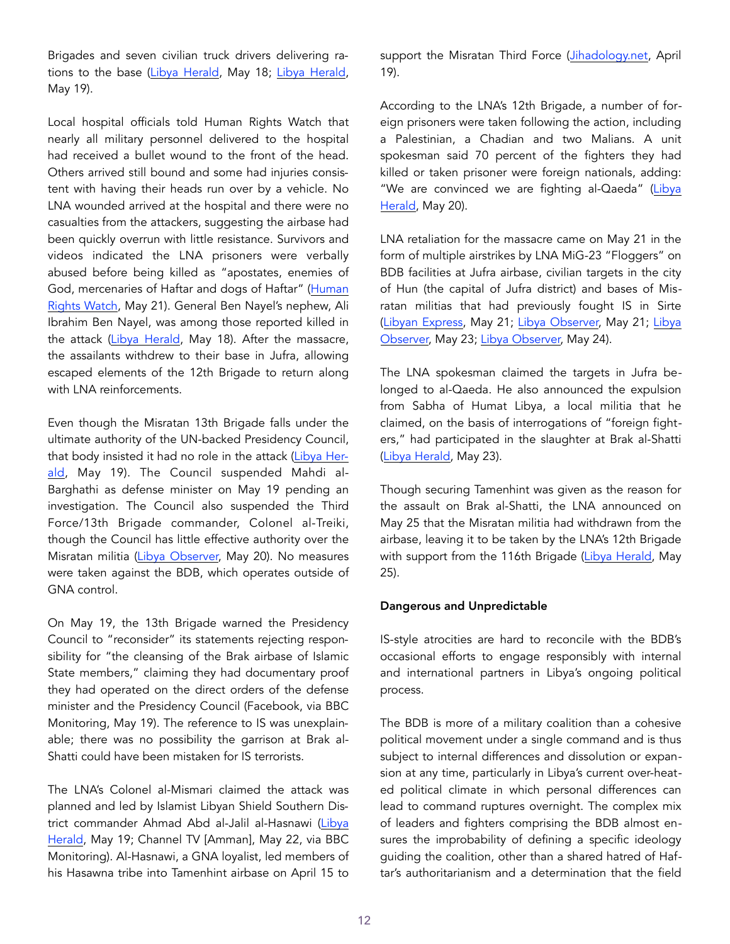Brigades and seven civilian truck drivers delivering ra-tions to the base [\(Libya Herald,](https://www.libyaherald.com/2017/05/18/misratans-and-bdb-takes-brak-al-shatti-airbase-in-shock-attack-heavy-lna-casualties-reported/) May 18; [Libya Herald,](https://www.libyaherald.com/2017/05/19/141-died-in-brak-massacre-says-mismari/) May 19).

Local hospital officials told Human Rights Watch that nearly all military personnel delivered to the hospital had received a bullet wound to the front of the head. Others arrived still bound and some had injuries consistent with having their heads run over by a vehicle. No LNA wounded arrived at the hospital and there were no casualties from the attackers, suggesting the airbase had been quickly overrun with little resistance. Survivors and videos indicated the LNA prisoners were verbally abused before being killed as "apostates, enemies of God, mercenaries of Haftar and dogs of Haftar" ([Human](https://www.hrw.org/news/2017/05/21/libya-mass-executions-alleged-military-base)  [Rights Watch,](https://www.hrw.org/news/2017/05/21/libya-mass-executions-alleged-military-base) May 21). General Ben Nayel's nephew, Ali Ibrahim Ben Nayel, was among those reported killed in the attack [\(Libya Herald](https://www.libyaherald.com/2017/05/18/misratans-and-bdb-takes-brak-al-shatti-airbase-in-shock-attack-heavy-lna-casualties-reported/), May 18). After the massacre, the assailants withdrew to their base in Jufra, allowing escaped elements of the 12th Brigade to return along with LNA reinforcements.

Even though the Misratan 13th Brigade falls under the ultimate authority of the UN-backed Presidency Council, that body insisted it had no role in the attack ([Libya Her](https://www.libyaherald.com/2017/05/19/presidency-council-and-tripoli-mod-deny-involvement-in-brak-al-shatti-massacre/)[ald](https://www.libyaherald.com/2017/05/19/presidency-council-and-tripoli-mod-deny-involvement-in-brak-al-shatti-massacre/), May 19). The Council suspended Mahdi al-Barghathi as defense minister on May 19 pending an investigation. The Council also suspended the Third Force/13th Brigade commander, Colonel al-Treiki, though the Council has little effective authority over the Misratan militia [\(Libya Observer,](https://www.libyaobserver.ly/news/presidential-council-marks-defense-minister-designate-over-brak-al-shati-attack) May 20). No measures were taken against the BDB, which operates outside of GNA control.

On May 19, the 13th Brigade warned the Presidency Council to "reconsider" its statements rejecting responsibility for "the cleansing of the Brak airbase of Islamic State members," claiming they had documentary proof they had operated on the direct orders of the defense minister and the Presidency Council (Facebook, via BBC Monitoring, May 19). The reference to IS was unexplainable; there was no possibility the garrison at Brak al-Shatti could have been mistaken for IS terrorists.

The LNA's Colonel al-Mismari claimed the attack was planned and led by Islamist Libyan Shield Southern District commander Ahmad Abd al-Jalil al-Hasnawi [\(Libya](https://www.libyaherald.com/2017/05/19/141-died-in-brak-massacre-says-mismari/)  [Herald,](https://www.libyaherald.com/2017/05/19/141-died-in-brak-massacre-says-mismari/) May 19; Channel TV [Amman], May 22, via BBC Monitoring). Al-Hasnawi, a GNA loyalist, led members of his Hasawna tribe into Tamenhint airbase on April 15 to

support the Misratan Third Force [\(Jihadology.net,](http://jihadology.net/2017/04/20/weekly-eye-on-jihadis-in-libya-update-april-19-2017/) April 19).

According to the LNA's 12th Brigade, a number of foreign prisoners were taken following the action, including a Palestinian, a Chadian and two Malians. A unit spokesman said 70 percent of the fighters they had killed or taken prisoner were foreign nationals, adding: "We are convinced we are fighting al-Qaeda" (Libya [Herald,](https://www.libyaherald.com/2017/05/20/lna-claims-many-brak-al-shatti-attackers-were-foreign-says-it-is-fighting-al-qaeda/) May 20).

LNA retaliation for the massacre came on May 21 in the form of multiple airstrikes by LNA MiG-23 "Floggers" on BDB facilities at Jufra airbase, civilian targets in the city of Hun (the capital of Jufra district) and bases of Misratan militias that had previously fought IS in Sirte ([Libyan Express,](http://www.libyanexpress.com/eastern-warplanes-conduct-8-airstrikes-on-bdb-locations/) May 21; [Libya Observer,](https://www.libyaobserver.ly/news/video-dignity-operation-launches-airstrikes-opponents-al-jufra) May 21; [Libya](https://www.libyaobserver.ly/news/brigade-613-calls-response-dignity-operation-airstrikes-central-libya)  [Observer,](https://www.libyaobserver.ly/news/brigade-613-calls-response-dignity-operation-airstrikes-central-libya) May 23; [Libya Observer,](https://www.libyaobserver.ly/news/night-airstrikes-hun-town) May 24).

The LNA spokesman claimed the targets in Jufra belonged to al-Qaeda. He also announced the expulsion from Sabha of Humat Libya, a local militia that he claimed, on the basis of interrogations of "foreign fighters," had participated in the slaughter at Brak al-Shatti ([Libya Herald,](https://www.libyaherald.com/2017/05/23/lna-continues-fezzan-push/) May 23).

Though securing Tamenhint was given as the reason for the assault on Brak al-Shatti, the LNA announced on May 25 that the Misratan militia had withdrawn from the airbase, leaving it to be taken by the LNA's 12th Brigade with support from the 116th Brigade [\(Libya Herald,](https://www.libyaherald.com/2017/05/25/lna-takes-tamenhint-airbase-as-misratans-withdraw-north/) May 25).

#### Dangerous and Unpredictable

IS-style atrocities are hard to reconcile with the BDB's occasional efforts to engage responsibly with internal and international partners in Libya's ongoing political process.

The BDB is more of a military coalition than a cohesive political movement under a single command and is thus subject to internal differences and dissolution or expansion at any time, particularly in Libya's current over-heated political climate in which personal differences can lead to command ruptures overnight. The complex mix of leaders and fighters comprising the BDB almost ensures the improbability of defining a specific ideology guiding the coalition, other than a shared hatred of Haftar's authoritarianism and a determination that the field